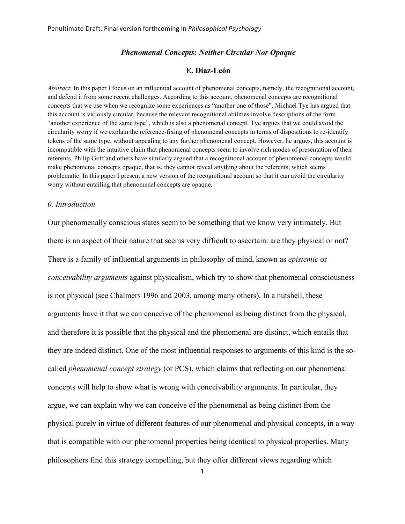# *Phenomenal Concepts: Neither Circular Nor Opaque*

# **E. Díaz-León**

*Abstract*: In this paper I focus on an influential account of phenomenal concepts, namely, the recognitional account, and defend it from some recent challenges. According to this account, phenomenal concepts are recognitional concepts that we use when we recognize some experiences as "another one of those". Michael Tye has argued that this account is viciously circular, because the relevant recognitional abilities involve descriptions of the form "another experience of the same type", which is also a phenomenal concept. Tye argues that we could avoid the circularity worry if we explain the reference-fixing of phenomenal concepts in terms of dispositions to re-identify tokens of the same type, without appealing to any further phenomenal concept. However, he argues, this account is incompatible with the intuitive claim that phenomenal concepts seem to involve rich modes of presentation of their referents. Philip Goff and others have similarly argued that a recognitional account of phenomenal concepts would make phenomenal concepts opaque, that is, they cannot reveal anything about the referents, which seems problematic. In this paper I present a new version of the recognitional account so that it can avoid the circularity worry without entailing that phenomenal concepts are opaque.

# *0. Introduction*

Our phenomenally conscious states seem to be something that we know very intimately. But there is an aspect of their nature that seems very difficult to ascertain: are they physical or not? There is a family of influential arguments in philosophy of mind, known as *epistemic* or *conceivability arguments* against physicalism, which try to show that phenomenal consciousness is not physical (see Chalmers 1996 and 2003, among many others). In a nutshell, these arguments have it that we can conceive of the phenomenal as being distinct from the physical, and therefore it is possible that the physical and the phenomenal are distinct, which entails that they are indeed distinct. One of the most influential responses to arguments of this kind is the socalled *phenomenal concept strategy* (or PCS), which claims that reflecting on our phenomenal concepts will help to show what is wrong with conceivability arguments. In particular, they argue, we can explain why we can conceive of the phenomenal as being distinct from the physical purely in virtue of different features of our phenomenal and physical concepts, in a way that is compatible with our phenomenal properties being identical to physical properties. Many philosophers find this strategy compelling, but they offer different views regarding which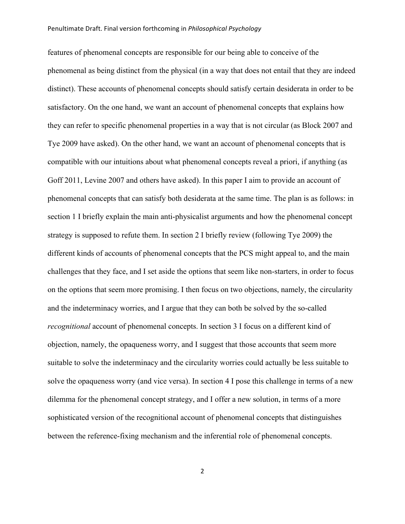features of phenomenal concepts are responsible for our being able to conceive of the phenomenal as being distinct from the physical (in a way that does not entail that they are indeed distinct). These accounts of phenomenal concepts should satisfy certain desiderata in order to be satisfactory. On the one hand, we want an account of phenomenal concepts that explains how they can refer to specific phenomenal properties in a way that is not circular (as Block 2007 and Tye 2009 have asked). On the other hand, we want an account of phenomenal concepts that is compatible with our intuitions about what phenomenal concepts reveal a priori, if anything (as Goff 2011, Levine 2007 and others have asked). In this paper I aim to provide an account of phenomenal concepts that can satisfy both desiderata at the same time. The plan is as follows: in section 1 I briefly explain the main anti-physicalist arguments and how the phenomenal concept strategy is supposed to refute them. In section 2 I briefly review (following Tye 2009) the different kinds of accounts of phenomenal concepts that the PCS might appeal to, and the main challenges that they face, and I set aside the options that seem like non-starters, in order to focus on the options that seem more promising. I then focus on two objections, namely, the circularity and the indeterminacy worries, and I argue that they can both be solved by the so-called *recognitional* account of phenomenal concepts. In section 3 I focus on a different kind of objection, namely, the opaqueness worry, and I suggest that those accounts that seem more suitable to solve the indeterminacy and the circularity worries could actually be less suitable to solve the opaqueness worry (and vice versa). In section 4 I pose this challenge in terms of a new dilemma for the phenomenal concept strategy, and I offer a new solution, in terms of a more sophisticated version of the recognitional account of phenomenal concepts that distinguishes between the reference-fixing mechanism and the inferential role of phenomenal concepts.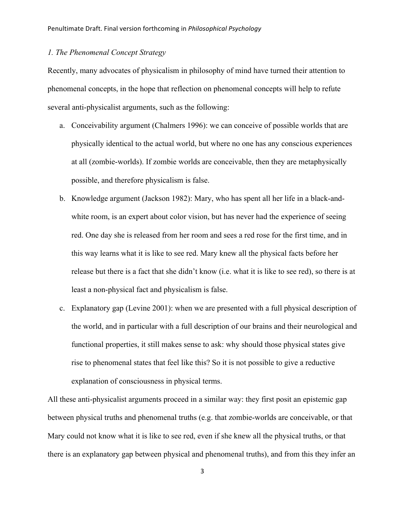# *1. The Phenomenal Concept Strategy*

Recently, many advocates of physicalism in philosophy of mind have turned their attention to phenomenal concepts, in the hope that reflection on phenomenal concepts will help to refute several anti-physicalist arguments, such as the following:

- a. Conceivability argument (Chalmers 1996): we can conceive of possible worlds that are physically identical to the actual world, but where no one has any conscious experiences at all (zombie-worlds). If zombie worlds are conceivable, then they are metaphysically possible, and therefore physicalism is false.
- b. Knowledge argument (Jackson 1982): Mary, who has spent all her life in a black-andwhite room, is an expert about color vision, but has never had the experience of seeing red. One day she is released from her room and sees a red rose for the first time, and in this way learns what it is like to see red. Mary knew all the physical facts before her release but there is a fact that she didn't know (i.e. what it is like to see red), so there is at least a non-physical fact and physicalism is false.
- c. Explanatory gap (Levine 2001): when we are presented with a full physical description of the world, and in particular with a full description of our brains and their neurological and functional properties, it still makes sense to ask: why should those physical states give rise to phenomenal states that feel like this? So it is not possible to give a reductive explanation of consciousness in physical terms.

All these anti-physicalist arguments proceed in a similar way: they first posit an epistemic gap between physical truths and phenomenal truths (e.g. that zombie-worlds are conceivable, or that Mary could not know what it is like to see red, even if she knew all the physical truths, or that there is an explanatory gap between physical and phenomenal truths), and from this they infer an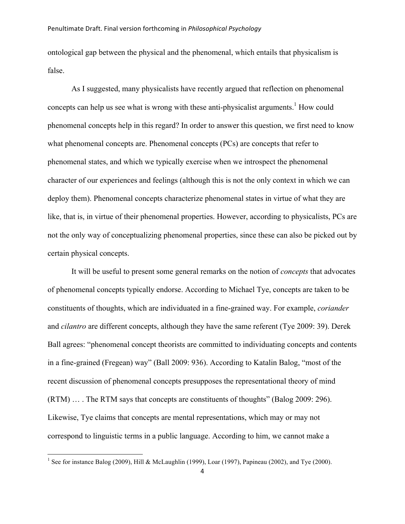ontological gap between the physical and the phenomenal, which entails that physicalism is false.

As I suggested, many physicalists have recently argued that reflection on phenomenal concepts can help us see what is wrong with these anti-physicalist arguments.<sup>1</sup> How could phenomenal concepts help in this regard? In order to answer this question, we first need to know what phenomenal concepts are. Phenomenal concepts (PCs) are concepts that refer to phenomenal states, and which we typically exercise when we introspect the phenomenal character of our experiences and feelings (although this is not the only context in which we can deploy them). Phenomenal concepts characterize phenomenal states in virtue of what they are like, that is, in virtue of their phenomenal properties. However, according to physicalists, PCs are not the only way of conceptualizing phenomenal properties, since these can also be picked out by certain physical concepts.

It will be useful to present some general remarks on the notion of *concepts* that advocates of phenomenal concepts typically endorse. According to Michael Tye, concepts are taken to be constituents of thoughts, which are individuated in a fine-grained way. For example, *coriander* and *cilantro* are different concepts, although they have the same referent (Tye 2009: 39). Derek Ball agrees: "phenomenal concept theorists are committed to individuating concepts and contents in a fine-grained (Fregean) way" (Ball 2009: 936). According to Katalin Balog, "most of the recent discussion of phenomenal concepts presupposes the representational theory of mind (RTM) … . The RTM says that concepts are constituents of thoughts" (Balog 2009: 296). Likewise, Tye claims that concepts are mental representations, which may or may not correspond to linguistic terms in a public language. According to him, we cannot make a

<sup>&</sup>lt;sup>1</sup> See for instance Balog (2009), Hill & McLaughlin (1999), Loar (1997), Papineau (2002), and Tye (2000).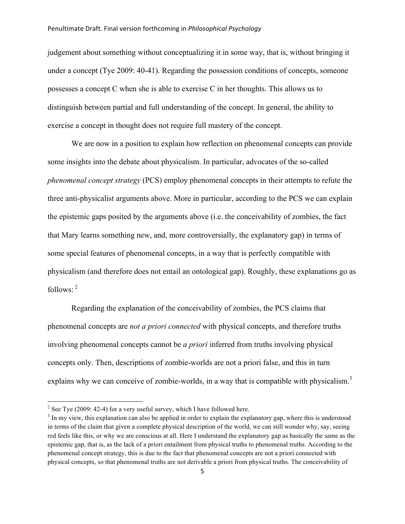judgement about something without conceptualizing it in some way, that is, without bringing it under a concept (Tye 2009: 40-41). Regarding the possession conditions of concepts, someone possesses a concept C when she is able to exercise C in her thoughts. This allows us to distinguish between partial and full understanding of the concept. In general, the ability to exercise a concept in thought does not require full mastery of the concept.

We are now in a position to explain how reflection on phenomenal concepts can provide some insights into the debate about physicalism. In particular, advocates of the so-called *phenomenal concept strategy* (PCS) employ phenomenal concepts in their attempts to refute the three anti-physicalist arguments above. More in particular, according to the PCS we can explain the epistemic gaps posited by the arguments above (i.e. the conceivability of zombies, the fact that Mary learns something new, and, more controversially, the explanatory gap) in terms of some special features of phenomenal concepts, in a way that is perfectly compatible with physicalism (and therefore does not entail an ontological gap). Roughly, these explanations go as follows: <sup>2</sup>

Regarding the explanation of the conceivability of zombies, the PCS claims that phenomenal concepts are *not a priori connected* with physical concepts, and therefore truths involving phenomenal concepts cannot be *a priori* inferred from truths involving physical concepts only. Then, descriptions of zombie-worlds are not a priori false, and this in turn explains why we can conceive of zombie-worlds, in a way that is compatible with physicalism.<sup>3</sup>

<sup>&</sup>lt;sup>2</sup> See Tye (2009: 42-4) for a very useful survey, which I have followed here.

<sup>&</sup>lt;sup>3</sup> In my view, this explanation can also be applied in order to explain the explanatory gap, where this is understood in terms of the claim that given a complete physical description of the world, we can still wonder why, say, seeing red feels like this, or why we are conscious at all. Here I understand the explanatory gap as basically the same as the epistemic gap, that is, as the lack of a priori entailment from physical truths to phenomenal truths. According to the phenomenal concept strategy, this is due to the fact that phenomenal concepts are not a priori connected with physical concepts, so that phenomenal truths are not derivable a priori from physical truths. The conceivability of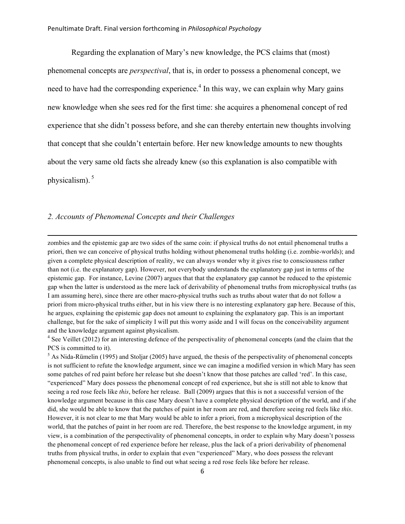Regarding the explanation of Mary's new knowledge, the PCS claims that (most) phenomenal concepts are *perspectival*, that is, in order to possess a phenomenal concept, we need to have had the corresponding experience.<sup>4</sup> In this way, we can explain why Mary gains new knowledge when she sees red for the first time: she acquires a phenomenal concept of red experience that she didn't possess before, and she can thereby entertain new thoughts involving that concept that she couldn't entertain before. Her new knowledge amounts to new thoughts about the very same old facts she already knew (so this explanation is also compatible with physicalism). 5

## *2. Accounts of Phenomenal Concepts and their Challenges*

zombies and the epistemic gap are two sides of the same coin: if physical truths do not entail phenomenal truths a priori, then we can conceive of physical truths holding without phenomenal truths holding (i.e. zombie-worlds); and given a complete physical description of reality, we can always wonder why it gives rise to consciousness rather than not (i.e. the explanatory gap). However, not everybody understands the explanatory gap just in terms of the epistemic gap. For instance, Levine (2007) argues that that the explanatory gap cannot be reduced to the epistemic gap when the latter is understood as the mere lack of derivability of phenomenal truths from microphysical truths (as I am assuming here), since there are other macro-physical truths such as truths about water that do not follow a priori from micro-physical truths either, but in his view there is no interesting explanatory gap here. Because of this, he argues, explaining the epistemic gap does not amount to explaining the explanatory gap. This is an important challenge, but for the sake of simplicity I will put this worry aside and I will focus on the conceivability argument and the knowledge argument against physicalism.

<u> 1989 - Andrea Santa Andrea Andrea Andrea Andrea Andrea Andrea Andrea Andrea Andrea Andrea Andrea Andrea Andr</u>

<sup>4</sup> See Veillet (2012) for an interesting defence of the perspectivality of phenomenal concepts (and the claim that the PCS is committed to it).

 $<sup>5</sup>$  As Nida-Rümelin (1995) and Stoljar (2005) have argued, the thesis of the perspectivality of phenomenal concepts</sup> is not sufficient to refute the knowledge argument, since we can imagine a modified version in which Mary has seen some patches of red paint before her release but she doesn't know that those patches are called 'red'. In this case, "experienced" Mary does possess the phenomenal concept of red experience, but she is still not able to know that seeing a red rose feels like *this*, before her release. Ball (2009) argues that this is not a successful version of the knowledge argument because in this case Mary doesn't have a complete physical description of the world, and if she did, she would be able to know that the patches of paint in her room are red, and therefore seeing red feels like *this*. However, it is not clear to me that Mary would be able to infer a priori, from a microphysical description of the world, that the patches of paint in her room are red. Therefore, the best response to the knowledge argument, in my view, is a combination of the perspectivality of phenomenal concepts, in order to explain why Mary doesn't possess the phenomenal concept of red experience before her release, plus the lack of a priori derivability of phenomenal truths from physical truths, in order to explain that even "experienced" Mary, who does possess the relevant phenomenal concepts, is also unable to find out what seeing a red rose feels like before her release.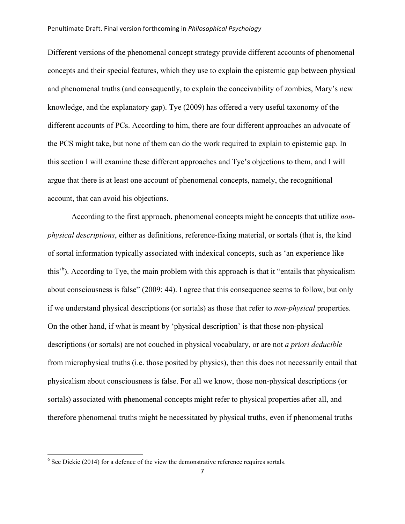Different versions of the phenomenal concept strategy provide different accounts of phenomenal concepts and their special features, which they use to explain the epistemic gap between physical and phenomenal truths (and consequently, to explain the conceivability of zombies, Mary's new knowledge, and the explanatory gap). Tye (2009) has offered a very useful taxonomy of the different accounts of PCs. According to him, there are four different approaches an advocate of the PCS might take, but none of them can do the work required to explain to epistemic gap. In this section I will examine these different approaches and Tye's objections to them, and I will argue that there is at least one account of phenomenal concepts, namely, the recognitional account, that can avoid his objections.

According to the first approach, phenomenal concepts might be concepts that utilize *nonphysical descriptions*, either as definitions, reference-fixing material, or sortals (that is, the kind of sortal information typically associated with indexical concepts, such as 'an experience like this<sup>,6</sup>). According to Tye, the main problem with this approach is that it "entails that physicalism about consciousness is false" (2009: 44). I agree that this consequence seems to follow, but only if we understand physical descriptions (or sortals) as those that refer to *non-physical* properties. On the other hand, if what is meant by 'physical description' is that those non-physical descriptions (or sortals) are not couched in physical vocabulary, or are not *a priori deducible* from microphysical truths (i.e. those posited by physics), then this does not necessarily entail that physicalism about consciousness is false. For all we know, those non-physical descriptions (or sortals) associated with phenomenal concepts might refer to physical properties after all, and therefore phenomenal truths might be necessitated by physical truths, even if phenomenal truths

 $6$  See Dickie (2014) for a defence of the view the demonstrative reference requires sortals.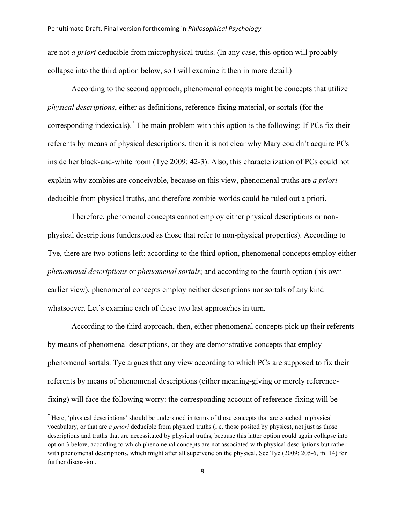are not *a priori* deducible from microphysical truths. (In any case, this option will probably collapse into the third option below, so I will examine it then in more detail.)

According to the second approach, phenomenal concepts might be concepts that utilize *physical descriptions*, either as definitions, reference-fixing material, or sortals (for the corresponding indexicals).<sup>7</sup> The main problem with this option is the following: If PCs fix their referents by means of physical descriptions, then it is not clear why Mary couldn't acquire PCs inside her black-and-white room (Tye 2009: 42-3). Also, this characterization of PCs could not explain why zombies are conceivable, because on this view, phenomenal truths are *a priori* deducible from physical truths, and therefore zombie-worlds could be ruled out a priori.

Therefore, phenomenal concepts cannot employ either physical descriptions or nonphysical descriptions (understood as those that refer to non-physical properties). According to Tye, there are two options left: according to the third option, phenomenal concepts employ either *phenomenal descriptions* or *phenomenal sortals*; and according to the fourth option (his own earlier view), phenomenal concepts employ neither descriptions nor sortals of any kind whatsoever. Let's examine each of these two last approaches in turn.

According to the third approach, then, either phenomenal concepts pick up their referents by means of phenomenal descriptions, or they are demonstrative concepts that employ phenomenal sortals. Tye argues that any view according to which PCs are supposed to fix their referents by means of phenomenal descriptions (either meaning-giving or merely referencefixing) will face the following worry: the corresponding account of reference-fixing will be

 $<sup>7</sup>$  Here, 'physical descriptions' should be understood in terms of those concepts that are couched in physical</sup> vocabulary, or that are *a priori* deducible from physical truths (i.e. those posited by physics), not just as those descriptions and truths that are necessitated by physical truths, because this latter option could again collapse into option 3 below, according to which phenomenal concepts are not associated with physical descriptions but rather with phenomenal descriptions, which might after all supervene on the physical. See Tye (2009: 205-6, fn. 14) for further discussion.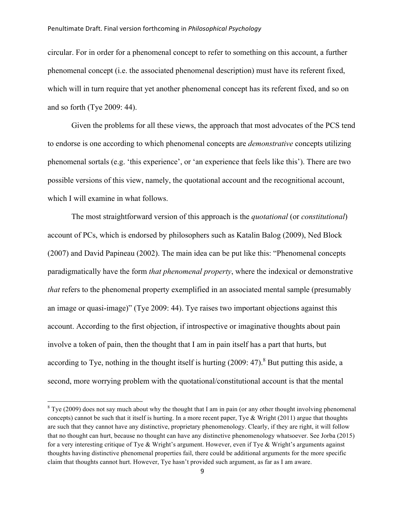circular. For in order for a phenomenal concept to refer to something on this account, a further phenomenal concept (i.e. the associated phenomenal description) must have its referent fixed, which will in turn require that yet another phenomenal concept has its referent fixed, and so on and so forth (Tye 2009: 44).

Given the problems for all these views, the approach that most advocates of the PCS tend to endorse is one according to which phenomenal concepts are *demonstrative* concepts utilizing phenomenal sortals (e.g. 'this experience', or 'an experience that feels like this'). There are two possible versions of this view, namely, the quotational account and the recognitional account, which I will examine in what follows.

The most straightforward version of this approach is the *quotational* (or *constitutional*) account of PCs, which is endorsed by philosophers such as Katalin Balog (2009), Ned Block (2007) and David Papineau (2002). The main idea can be put like this: "Phenomenal concepts paradigmatically have the form *that phenomenal property*, where the indexical or demonstrative *that* refers to the phenomenal property exemplified in an associated mental sample (presumably an image or quasi-image)" (Tye 2009: 44). Tye raises two important objections against this account. According to the first objection, if introspective or imaginative thoughts about pain involve a token of pain, then the thought that I am in pain itself has a part that hurts, but according to Tye, nothing in the thought itself is hurting  $(2009: 47)$ .<sup>8</sup> But putting this aside, a second, more worrying problem with the quotational/constitutional account is that the mental

 $8$  Tye (2009) does not say much about why the thought that I am in pain (or any other thought involving phenomenal concepts) cannot be such that it itself is hurting. In a more recent paper, Tye & Wright (2011) argue that thoughts are such that they cannot have any distinctive, proprietary phenomenology. Clearly, if they are right, it will follow that no thought can hurt, because no thought can have any distinctive phenomenology whatsoever. See Jorba (2015) for a very interesting critique of Tye & Wright's argument. However, even if Tye & Wright's arguments against thoughts having distinctive phenomenal properties fail, there could be additional arguments for the more specific claim that thoughts cannot hurt. However, Tye hasn't provided such argument, as far as I am aware.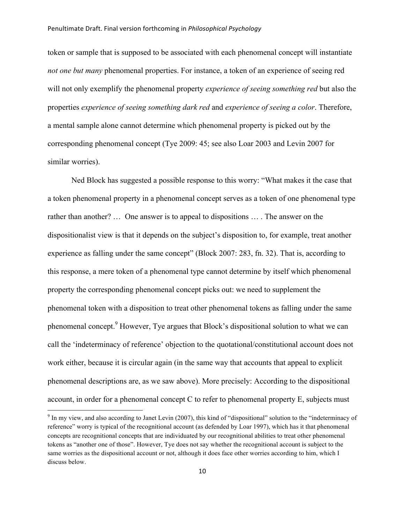token or sample that is supposed to be associated with each phenomenal concept will instantiate *not one but many* phenomenal properties. For instance, a token of an experience of seeing red will not only exemplify the phenomenal property *experience of seeing something red* but also the properties *experience of seeing something dark red* and *experience of seeing a color*. Therefore, a mental sample alone cannot determine which phenomenal property is picked out by the corresponding phenomenal concept (Tye 2009: 45; see also Loar 2003 and Levin 2007 for similar worries).

Ned Block has suggested a possible response to this worry: "What makes it the case that a token phenomenal property in a phenomenal concept serves as a token of one phenomenal type rather than another? … One answer is to appeal to dispositions … . The answer on the dispositionalist view is that it depends on the subject's disposition to, for example, treat another experience as falling under the same concept" (Block 2007: 283, fn. 32). That is, according to this response, a mere token of a phenomenal type cannot determine by itself which phenomenal property the corresponding phenomenal concept picks out: we need to supplement the phenomenal token with a disposition to treat other phenomenal tokens as falling under the same phenomenal concept.<sup>9</sup> However, Tye argues that Block's dispositional solution to what we can call the 'indeterminacy of reference' objection to the quotational/constitutional account does not work either, because it is circular again (in the same way that accounts that appeal to explicit phenomenal descriptions are, as we saw above). More precisely: According to the dispositional account, in order for a phenomenal concept C to refer to phenomenal property E, subjects must

<sup>&</sup>lt;sup>9</sup> In my view, and also according to Janet Levin (2007), this kind of "dispositional" solution to the "indeterminacy of reference" worry is typical of the recognitional account (as defended by Loar 1997), which has it that phenomenal concepts are recognitional concepts that are individuated by our recognitional abilities to treat other phenomenal tokens as "another one of those". However, Tye does not say whether the recognitional account is subject to the same worries as the dispositional account or not, although it does face other worries according to him, which I discuss below.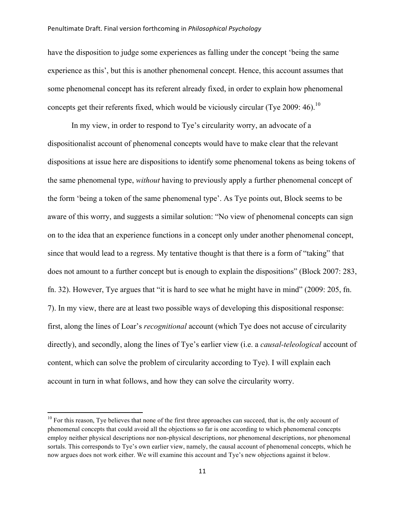have the disposition to judge some experiences as falling under the concept 'being the same experience as this', but this is another phenomenal concept. Hence, this account assumes that some phenomenal concept has its referent already fixed, in order to explain how phenomenal concepts get their referents fixed, which would be viciously circular (Tye 2009: 46).<sup>10</sup>

In my view, in order to respond to Tye's circularity worry, an advocate of a dispositionalist account of phenomenal concepts would have to make clear that the relevant dispositions at issue here are dispositions to identify some phenomenal tokens as being tokens of the same phenomenal type, *without* having to previously apply a further phenomenal concept of the form 'being a token of the same phenomenal type'. As Tye points out, Block seems to be aware of this worry, and suggests a similar solution: "No view of phenomenal concepts can sign on to the idea that an experience functions in a concept only under another phenomenal concept, since that would lead to a regress. My tentative thought is that there is a form of "taking" that does not amount to a further concept but is enough to explain the dispositions" (Block 2007: 283, fn. 32). However, Tye argues that "it is hard to see what he might have in mind" (2009: 205, fn. 7). In my view, there are at least two possible ways of developing this dispositional response: first, along the lines of Loar's *recognitional* account (which Tye does not accuse of circularity directly), and secondly, along the lines of Tye's earlier view (i.e. a *causal-teleological* account of content, which can solve the problem of circularity according to Tye). I will explain each account in turn in what follows, and how they can solve the circularity worry.

 $10$  For this reason, Tye believes that none of the first three approaches can succeed, that is, the only account of phenomenal concepts that could avoid all the objections so far is one according to which phenomenal concepts employ neither physical descriptions nor non-physical descriptions, nor phenomenal descriptions, nor phenomenal sortals. This corresponds to Tye's own earlier view, namely, the causal account of phenomenal concepts, which he now argues does not work either. We will examine this account and Tye's new objections against it below.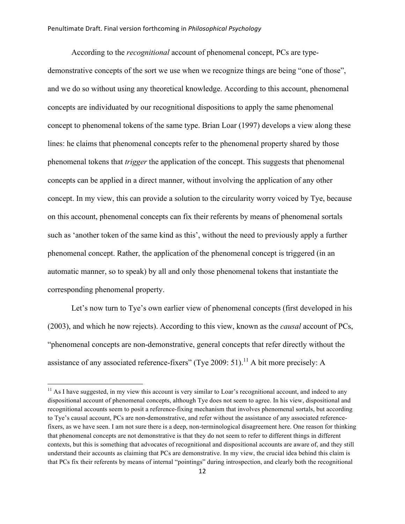According to the *recognitional* account of phenomenal concept, PCs are typedemonstrative concepts of the sort we use when we recognize things are being "one of those", and we do so without using any theoretical knowledge. According to this account, phenomenal concepts are individuated by our recognitional dispositions to apply the same phenomenal concept to phenomenal tokens of the same type. Brian Loar (1997) develops a view along these lines: he claims that phenomenal concepts refer to the phenomenal property shared by those phenomenal tokens that *trigger* the application of the concept. This suggests that phenomenal concepts can be applied in a direct manner, without involving the application of any other concept. In my view, this can provide a solution to the circularity worry voiced by Tye, because on this account, phenomenal concepts can fix their referents by means of phenomenal sortals such as 'another token of the same kind as this', without the need to previously apply a further phenomenal concept. Rather, the application of the phenomenal concept is triggered (in an automatic manner, so to speak) by all and only those phenomenal tokens that instantiate the corresponding phenomenal property.

Let's now turn to Tye's own earlier view of phenomenal concepts (first developed in his (2003), and which he now rejects). According to this view, known as the *causal* account of PCs, "phenomenal concepts are non-demonstrative, general concepts that refer directly without the assistance of any associated reference-fixers" (Tye 2009: 51).<sup>11</sup> A bit more precisely: A

 

 $11$  As I have suggested, in my view this account is very similar to Loar's recognitional account, and indeed to any dispositional account of phenomenal concepts, although Tye does not seem to agree. In his view, dispositional and recognitional accounts seem to posit a reference-fixing mechanism that involves phenomenal sortals, but according to Tye's causal account, PCs are non-demonstrative, and refer without the assistance of any associated referencefixers, as we have seen. I am not sure there is a deep, non-terminological disagreement here. One reason for thinking that phenomenal concepts are not demonstrative is that they do not seem to refer to different things in different contexts, but this is something that advocates of recognitional and dispositional accounts are aware of, and they still understand their accounts as claiming that PCs are demonstrative. In my view, the crucial idea behind this claim is that PCs fix their referents by means of internal "pointings" during introspection, and clearly both the recognitional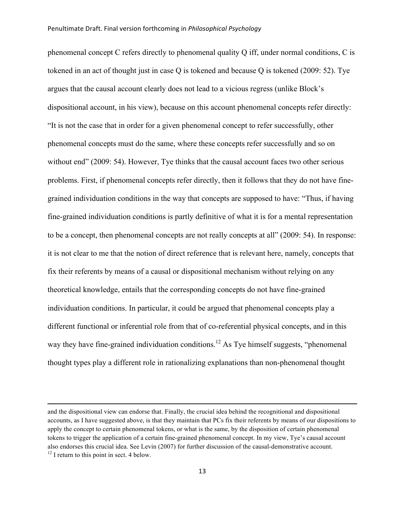phenomenal concept C refers directly to phenomenal quality Q iff, under normal conditions, C is tokened in an act of thought just in case Q is tokened and because Q is tokened (2009: 52). Tye argues that the causal account clearly does not lead to a vicious regress (unlike Block's dispositional account, in his view), because on this account phenomenal concepts refer directly: "It is not the case that in order for a given phenomenal concept to refer successfully, other phenomenal concepts must do the same, where these concepts refer successfully and so on without end" (2009: 54). However, Tye thinks that the causal account faces two other serious problems. First, if phenomenal concepts refer directly, then it follows that they do not have finegrained individuation conditions in the way that concepts are supposed to have: "Thus, if having fine-grained individuation conditions is partly definitive of what it is for a mental representation to be a concept, then phenomenal concepts are not really concepts at all" (2009: 54). In response: it is not clear to me that the notion of direct reference that is relevant here, namely, concepts that fix their referents by means of a causal or dispositional mechanism without relying on any theoretical knowledge, entails that the corresponding concepts do not have fine-grained individuation conditions. In particular, it could be argued that phenomenal concepts play a different functional or inferential role from that of co-referential physical concepts, and in this way they have fine-grained individuation conditions.<sup>12</sup> As Tye himself suggests, "phenomenal thought types play a different role in rationalizing explanations than non-phenomenal thought

<u> 1989 - Andrea Santa Andrea Andrea Andrea Andrea Andrea Andrea Andrea Andrea Andrea Andrea Andrea Andrea Andr</u>

and the dispositional view can endorse that. Finally, the crucial idea behind the recognitional and dispositional accounts, as I have suggested above, is that they maintain that PCs fix their referents by means of our dispositions to apply the concept to certain phenomenal tokens, or what is the same, by the disposition of certain phenomenal tokens to trigger the application of a certain fine-grained phenomenal concept. In my view, Tye's causal account also endorses this crucial idea. See Levin (2007) for further discussion of the causal-demonstrative account.  $12$  I return to this point in sect. 4 below.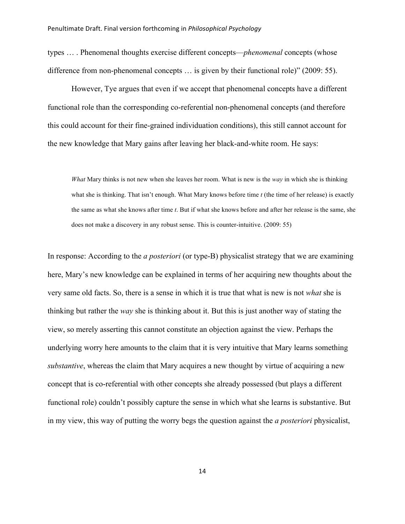types … . Phenomenal thoughts exercise different concepts—*phenomenal* concepts (whose difference from non-phenomenal concepts … is given by their functional role)" (2009: 55).

However, Tye argues that even if we accept that phenomenal concepts have a different functional role than the corresponding co-referential non-phenomenal concepts (and therefore this could account for their fine-grained individuation conditions), this still cannot account for the new knowledge that Mary gains after leaving her black-and-white room. He says:

*What* Mary thinks is not new when she leaves her room. What is new is the *way* in which she is thinking what she is thinking. That isn't enough. What Mary knows before time *t* (the time of her release) is exactly the same as what she knows after time *t*. But if what she knows before and after her release is the same, she does not make a discovery in any robust sense. This is counter-intuitive. (2009: 55)

In response: According to the *a posteriori* (or type-B) physicalist strategy that we are examining here, Mary's new knowledge can be explained in terms of her acquiring new thoughts about the very same old facts. So, there is a sense in which it is true that what is new is not *what* she is thinking but rather the *way* she is thinking about it. But this is just another way of stating the view, so merely asserting this cannot constitute an objection against the view. Perhaps the underlying worry here amounts to the claim that it is very intuitive that Mary learns something *substantive*, whereas the claim that Mary acquires a new thought by virtue of acquiring a new concept that is co-referential with other concepts she already possessed (but plays a different functional role) couldn't possibly capture the sense in which what she learns is substantive. But in my view, this way of putting the worry begs the question against the *a posteriori* physicalist,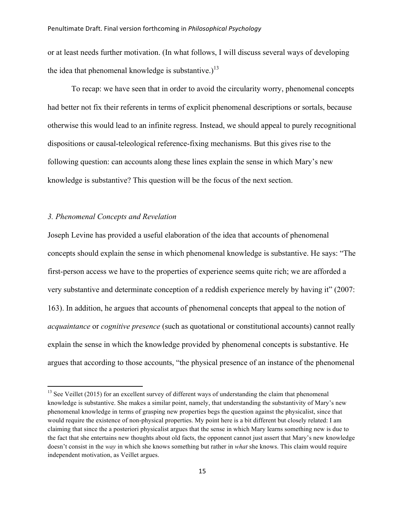or at least needs further motivation. (In what follows, I will discuss several ways of developing the idea that phenomenal knowledge is substantive.)<sup>13</sup>

To recap: we have seen that in order to avoid the circularity worry, phenomenal concepts had better not fix their referents in terms of explicit phenomenal descriptions or sortals, because otherwise this would lead to an infinite regress. Instead, we should appeal to purely recognitional dispositions or causal-teleological reference-fixing mechanisms. But this gives rise to the following question: can accounts along these lines explain the sense in which Mary's new knowledge is substantive? This question will be the focus of the next section.

# *3. Phenomenal Concepts and Revelation*

 

Joseph Levine has provided a useful elaboration of the idea that accounts of phenomenal concepts should explain the sense in which phenomenal knowledge is substantive. He says: "The first-person access we have to the properties of experience seems quite rich; we are afforded a very substantive and determinate conception of a reddish experience merely by having it" (2007: 163). In addition, he argues that accounts of phenomenal concepts that appeal to the notion of *acquaintance* or *cognitive presence* (such as quotational or constitutional accounts) cannot really explain the sense in which the knowledge provided by phenomenal concepts is substantive. He argues that according to those accounts, "the physical presence of an instance of the phenomenal

 $13$  See Veillet (2015) for an excellent survey of different ways of understanding the claim that phenomenal knowledge is substantive. She makes a similar point, namely, that understanding the substantivity of Mary's new phenomenal knowledge in terms of grasping new properties begs the question against the physicalist, since that would require the existence of non-physical properties. My point here is a bit different but closely related: I am claiming that since the a posteriori physicalist argues that the sense in which Mary learns something new is due to the fact that she entertains new thoughts about old facts, the opponent cannot just assert that Mary's new knowledge doesn't consist in the *way* in which she knows something but rather in *what* she knows. This claim would require independent motivation, as Veillet argues.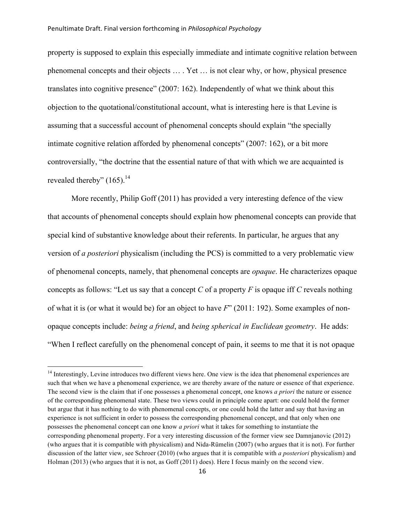property is supposed to explain this especially immediate and intimate cognitive relation between phenomenal concepts and their objects … . Yet … is not clear why, or how, physical presence translates into cognitive presence" (2007: 162). Independently of what we think about this objection to the quotational/constitutional account, what is interesting here is that Levine is assuming that a successful account of phenomenal concepts should explain "the specially intimate cognitive relation afforded by phenomenal concepts" (2007: 162), or a bit more controversially, "the doctrine that the essential nature of that with which we are acquainted is revealed thereby"  $(165)^{14}$ 

More recently, Philip Goff (2011) has provided a very interesting defence of the view that accounts of phenomenal concepts should explain how phenomenal concepts can provide that special kind of substantive knowledge about their referents. In particular, he argues that any version of *a posteriori* physicalism (including the PCS) is committed to a very problematic view of phenomenal concepts, namely, that phenomenal concepts are *opaque*. He characterizes opaque concepts as follows: "Let us say that a concept *C* of a property *F* is opaque iff *C* reveals nothing of what it is (or what it would be) for an object to have *F*" (2011: 192). Some examples of nonopaque concepts include: *being a friend*, and *being spherical in Euclidean geometry*. He adds: "When I reflect carefully on the phenomenal concept of pain, it seems to me that it is not opaque

<sup>&</sup>lt;sup>14</sup> Interestingly, Levine introduces two different views here. One view is the idea that phenomenal experiences are such that when we have a phenomenal experience, we are thereby aware of the nature or essence of that experience. The second view is the claim that if one possesses a phenomenal concept, one knows *a priori* the nature or essence of the corresponding phenomenal state. These two views could in principle come apart: one could hold the former but argue that it has nothing to do with phenomenal concepts, or one could hold the latter and say that having an experience is not sufficient in order to possess the corresponding phenomenal concept, and that only when one possesses the phenomenal concept can one know *a priori* what it takes for something to instantiate the corresponding phenomenal property. For a very interesting discussion of the former view see Damnjanovic (2012) (who argues that it is compatible with physicalism) and Nida-Rümelin (2007) (who argues that it is not). For further discussion of the latter view, see Schroer (2010) (who argues that it is compatible with *a posteriori* physicalism) and Holman (2013) (who argues that it is not, as Goff (2011) does). Here I focus mainly on the second view.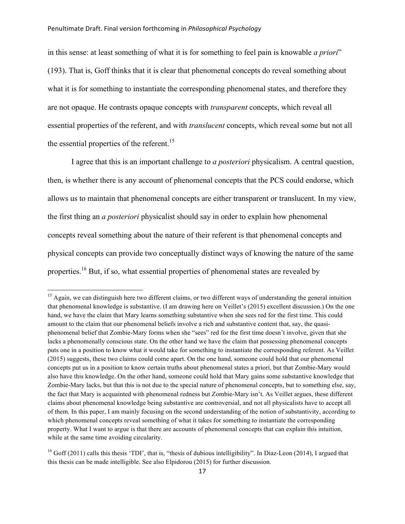<u> 1989 - Johann Stein, fransk politik (d. 1989)</u>

in this sense: at least something of what it is for something to feel pain is knowable *a priori*" (193). That is, Goff thinks that it is clear that phenomenal concepts do reveal something about what it is for something to instantiate the corresponding phenomenal states, and therefore they are not opaque. He contrasts opaque concepts with *transparent* concepts, which reveal all essential properties of the referent, and with *translucent* concepts, which reveal some but not all the essential properties of the referent.<sup>15</sup>

I agree that this is an important challenge to *a posteriori* physicalism. A central question, then, is whether there is any account of phenomenal concepts that the PCS could endorse, which allows us to maintain that phenomenal concepts are either transparent or translucent. In my view, the first thing an *a posteriori* physicalist should say in order to explain how phenomenal concepts reveal something about the nature of their referent is that phenomenal concepts and physical concepts can provide two conceptually distinct ways of knowing the nature of the same properties.16 But, if so, what essential properties of phenomenal states are revealed by

<sup>&</sup>lt;sup>15</sup> Again, we can distinguish here two different claims, or two different ways of understanding the general intuition that phenomenal knowledge is substantive. (I am drawing here on Veillet's (2015) excellent discussion.) On the one hand, we have the claim that Mary learns something substantive when she sees red for the first time. This could amount to the claim that our phenomenal beliefs involve a rich and substantive content that, say, the quasiphenomenal belief that Zombie-Mary forms when she "sees" red for the first time doesn't involve, given that she lacks a phenomenally conscious state. On the other hand we have the claim that possessing phenomenal concepts puts one in a position to know what it would take for something to instantiate the corresponding referent. As Veillet (2015) suggests, these two claims could come apart. On the one hand, someone could hold that our phenomenal concepts put us in a position to know certain truths about phenomenal states a priori, but that Zombie-Mary would also have this knowledge. On the other hand, someone could hold that Mary gains some substantive knowledge that Zombie-Mary lacks, but that this is not due to the special nature of phenomenal concepts, but to something else, say, the fact that Mary is acquainted with phenomenal redness but Zombie-Mary isn't. As Veillet argues, these different claims about phenomenal knowledge being substantive are controversial, and not all physicalists have to accept all of them. In this paper, I am mainly focusing on the second understanding of the notion of substantivity, according to which phenomenal concepts reveal something of what it takes for something to instantiate the corresponding property. What I want to argue is that there are accounts of phenomenal concepts that can explain this intuition, while at the same time avoiding circularity.

 $^{16}$  Goff (2011) calls this thesis 'TDI', that is, "thesis of dubious intelligibility". In Diaz-Leon (2014), I argued that this thesis can be made intelligible. See also Elpidorou (2015) for further discussion.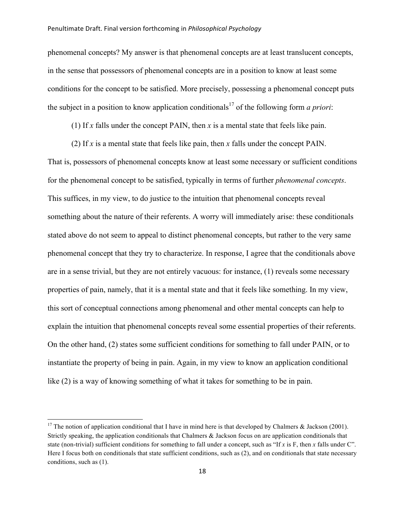phenomenal concepts? My answer is that phenomenal concepts are at least translucent concepts, in the sense that possessors of phenomenal concepts are in a position to know at least some conditions for the concept to be satisfied. More precisely, possessing a phenomenal concept puts the subject in a position to know application conditionals<sup>17</sup> of the following form *a priori*:

(1) If *x* falls under the concept PAIN, then *x* is a mental state that feels like pain.

(2) If *x* is a mental state that feels like pain, then *x* falls under the concept PAIN.

That is, possessors of phenomenal concepts know at least some necessary or sufficient conditions for the phenomenal concept to be satisfied, typically in terms of further *phenomenal concepts*. This suffices, in my view, to do justice to the intuition that phenomenal concepts reveal something about the nature of their referents. A worry will immediately arise: these conditionals stated above do not seem to appeal to distinct phenomenal concepts, but rather to the very same phenomenal concept that they try to characterize. In response, I agree that the conditionals above are in a sense trivial, but they are not entirely vacuous: for instance, (1) reveals some necessary properties of pain, namely, that it is a mental state and that it feels like something. In my view, this sort of conceptual connections among phenomenal and other mental concepts can help to explain the intuition that phenomenal concepts reveal some essential properties of their referents. On the other hand, (2) states some sufficient conditions for something to fall under PAIN, or to instantiate the property of being in pain. Again, in my view to know an application conditional like (2) is a way of knowing something of what it takes for something to be in pain.

<sup>&</sup>lt;sup>17</sup> The notion of application conditional that I have in mind here is that developed by Chalmers & Jackson (2001). Strictly speaking, the application conditionals that Chalmers & Jackson focus on are application conditionals that state (non-trivial) sufficient conditions for something to fall under a concept, such as "If *x* is F, then *x* falls under C". Here I focus both on conditionals that state sufficient conditions, such as (2), and on conditionals that state necessary conditions, such as (1).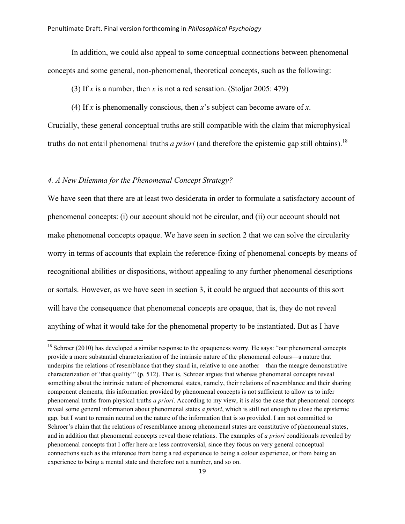In addition, we could also appeal to some conceptual connections between phenomenal concepts and some general, non-phenomenal, theoretical concepts, such as the following:

(3) If *x* is a number, then *x* is not a red sensation. (Stoljar 2005: 479)

(4) If *x* is phenomenally conscious, then *x*'s subject can become aware of *x*.

Crucially, these general conceptual truths are still compatible with the claim that microphysical truths do not entail phenomenal truths *a priori* (and therefore the epistemic gap still obtains). 18

## *4. A New Dilemma for the Phenomenal Concept Strategy?*

 

We have seen that there are at least two desiderata in order to formulate a satisfactory account of phenomenal concepts: (i) our account should not be circular, and (ii) our account should not make phenomenal concepts opaque. We have seen in section 2 that we can solve the circularity worry in terms of accounts that explain the reference-fixing of phenomenal concepts by means of recognitional abilities or dispositions, without appealing to any further phenomenal descriptions or sortals. However, as we have seen in section 3, it could be argued that accounts of this sort will have the consequence that phenomenal concepts are opaque, that is, they do not reveal anything of what it would take for the phenomenal property to be instantiated. But as I have

 $18$  Schroer (2010) has developed a similar response to the opaqueness worry. He says: "our phenomenal concepts provide a more substantial characterization of the intrinsic nature of the phenomenal colours—a nature that underpins the relations of resemblance that they stand in, relative to one another—than the meagre demonstrative characterization of 'that quality'" (p. 512). That is, Schroer argues that whereas phenomenal concepts reveal something about the intrinsic nature of phenomenal states, namely, their relations of resemblance and their sharing component elements, this information provided by phenomenal concepts is not sufficient to allow us to infer phenomenal truths from physical truths *a priori*. According to my view, it is also the case that phenomenal concepts reveal some general information about phenomenal states *a priori*, which is still not enough to close the epistemic gap, but I want to remain neutral on the nature of the information that is so provided. I am not committed to Schroer's claim that the relations of resemblance among phenomenal states are constitutive of phenomenal states, and in addition that phenomenal concepts reveal those relations. The examples of *a priori* conditionals revealed by phenomenal concepts that I offer here are less controversial, since they focus on very general conceptual connections such as the inference from being a red experience to being a colour experience, or from being an experience to being a mental state and therefore not a number, and so on.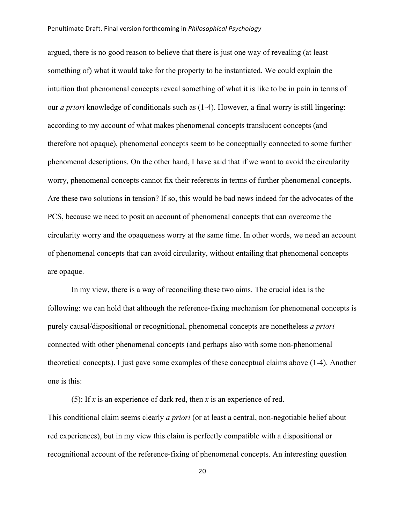argued, there is no good reason to believe that there is just one way of revealing (at least something of) what it would take for the property to be instantiated. We could explain the intuition that phenomenal concepts reveal something of what it is like to be in pain in terms of our *a priori* knowledge of conditionals such as (1-4). However, a final worry is still lingering: according to my account of what makes phenomenal concepts translucent concepts (and therefore not opaque), phenomenal concepts seem to be conceptually connected to some further phenomenal descriptions. On the other hand, I have said that if we want to avoid the circularity worry, phenomenal concepts cannot fix their referents in terms of further phenomenal concepts. Are these two solutions in tension? If so, this would be bad news indeed for the advocates of the PCS, because we need to posit an account of phenomenal concepts that can overcome the circularity worry and the opaqueness worry at the same time. In other words, we need an account of phenomenal concepts that can avoid circularity, without entailing that phenomenal concepts are opaque.

In my view, there is a way of reconciling these two aims. The crucial idea is the following: we can hold that although the reference-fixing mechanism for phenomenal concepts is purely causal/dispositional or recognitional, phenomenal concepts are nonetheless *a priori* connected with other phenomenal concepts (and perhaps also with some non-phenomenal theoretical concepts). I just gave some examples of these conceptual claims above (1-4). Another one is this:

(5): If *x* is an experience of dark red, then *x* is an experience of red. This conditional claim seems clearly *a priori* (or at least a central, non-negotiable belief about red experiences), but in my view this claim is perfectly compatible with a dispositional or recognitional account of the reference-fixing of phenomenal concepts. An interesting question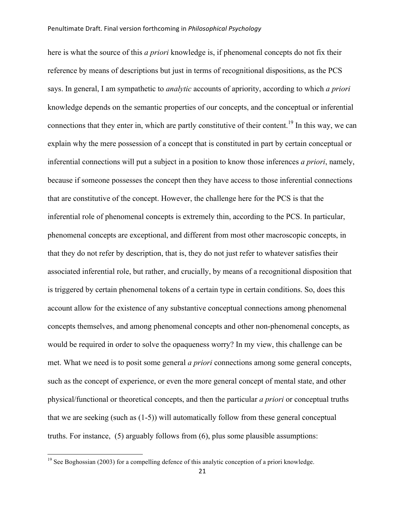here is what the source of this *a priori* knowledge is, if phenomenal concepts do not fix their reference by means of descriptions but just in terms of recognitional dispositions, as the PCS says. In general, I am sympathetic to *analytic* accounts of apriority, according to which *a priori* knowledge depends on the semantic properties of our concepts, and the conceptual or inferential connections that they enter in, which are partly constitutive of their content.<sup>19</sup> In this way, we can explain why the mere possession of a concept that is constituted in part by certain conceptual or inferential connections will put a subject in a position to know those inferences *a priori*, namely, because if someone possesses the concept then they have access to those inferential connections that are constitutive of the concept. However, the challenge here for the PCS is that the inferential role of phenomenal concepts is extremely thin, according to the PCS. In particular, phenomenal concepts are exceptional, and different from most other macroscopic concepts, in that they do not refer by description, that is, they do not just refer to whatever satisfies their associated inferential role, but rather, and crucially, by means of a recognitional disposition that is triggered by certain phenomenal tokens of a certain type in certain conditions. So, does this account allow for the existence of any substantive conceptual connections among phenomenal concepts themselves, and among phenomenal concepts and other non-phenomenal concepts, as would be required in order to solve the opaqueness worry? In my view, this challenge can be met. What we need is to posit some general *a priori* connections among some general concepts, such as the concept of experience, or even the more general concept of mental state, and other physical/functional or theoretical concepts, and then the particular *a priori* or conceptual truths that we are seeking (such as (1-5)) will automatically follow from these general conceptual truths. For instance, (5) arguably follows from (6), plus some plausible assumptions:

 $19$  See Boghossian (2003) for a compelling defence of this analytic conception of a priori knowledge.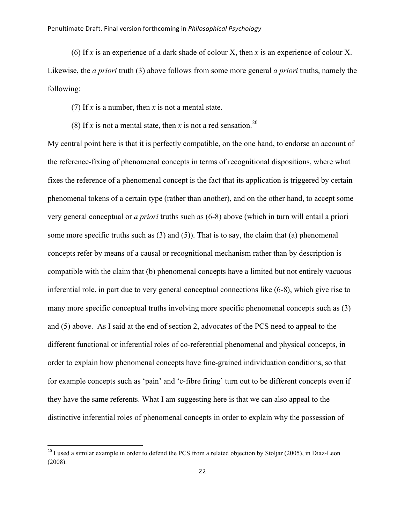(6) If *x* is an experience of a dark shade of colour X, then *x* is an experience of colour X. Likewise, the *a priori* truth (3) above follows from some more general *a priori* truths, namely the following:

(7) If *x* is a number, then *x* is not a mental state.

(8) If x is not a mental state, then x is not a red sensation.<sup>20</sup>

My central point here is that it is perfectly compatible, on the one hand, to endorse an account of the reference-fixing of phenomenal concepts in terms of recognitional dispositions, where what fixes the reference of a phenomenal concept is the fact that its application is triggered by certain phenomenal tokens of a certain type (rather than another), and on the other hand, to accept some very general conceptual or *a priori* truths such as (6-8) above (which in turn will entail a priori some more specific truths such as (3) and (5)). That is to say, the claim that (a) phenomenal concepts refer by means of a causal or recognitional mechanism rather than by description is compatible with the claim that (b) phenomenal concepts have a limited but not entirely vacuous inferential role, in part due to very general conceptual connections like (6-8), which give rise to many more specific conceptual truths involving more specific phenomenal concepts such as (3) and (5) above. As I said at the end of section 2, advocates of the PCS need to appeal to the different functional or inferential roles of co-referential phenomenal and physical concepts, in order to explain how phenomenal concepts have fine-grained individuation conditions, so that for example concepts such as 'pain' and 'c-fibre firing' turn out to be different concepts even if they have the same referents. What I am suggesting here is that we can also appeal to the distinctive inferential roles of phenomenal concepts in order to explain why the possession of

 

 $20$  I used a similar example in order to defend the PCS from a related objection by Stoljar (2005), in Diaz-Leon (2008).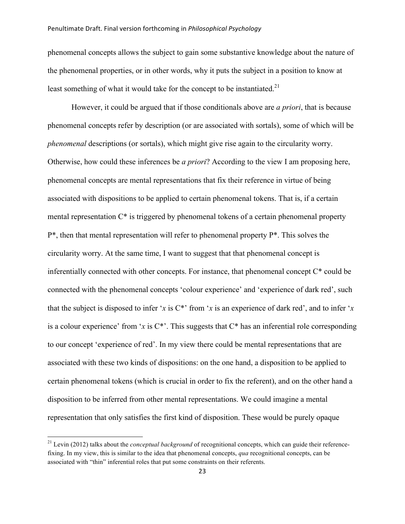phenomenal concepts allows the subject to gain some substantive knowledge about the nature of the phenomenal properties, or in other words, why it puts the subject in a position to know at least something of what it would take for the concept to be instantiated.<sup>21</sup>

However, it could be argued that if those conditionals above are *a priori*, that is because phenomenal concepts refer by description (or are associated with sortals), some of which will be *phenomenal* descriptions (or sortals), which might give rise again to the circularity worry. Otherwise, how could these inferences be *a priori*? According to the view I am proposing here, phenomenal concepts are mental representations that fix their reference in virtue of being associated with dispositions to be applied to certain phenomenal tokens. That is, if a certain mental representation C\* is triggered by phenomenal tokens of a certain phenomenal property  $P^*$ , then that mental representation will refer to phenomenal property  $P^*$ . This solves the circularity worry. At the same time, I want to suggest that that phenomenal concept is inferentially connected with other concepts. For instance, that phenomenal concept  $C^*$  could be connected with the phenomenal concepts 'colour experience' and 'experience of dark red', such that the subject is disposed to infer '*x* is  $C^*$ ' from '*x* is an experience of dark red', and to infer '*x* is a colour experience' from '*x* is  $C^*$ '. This suggests that  $C^*$  has an inferential role corresponding to our concept 'experience of red'. In my view there could be mental representations that are associated with these two kinds of dispositions: on the one hand, a disposition to be applied to certain phenomenal tokens (which is crucial in order to fix the referent), and on the other hand a disposition to be inferred from other mental representations. We could imagine a mental representation that only satisfies the first kind of disposition. These would be purely opaque

<sup>&</sup>lt;sup>21</sup> Levin (2012) talks about the *conceptual background* of recognitional concepts, which can guide their referencefixing. In my view, this is similar to the idea that phenomenal concepts, *qua* recognitional concepts, can be associated with "thin" inferential roles that put some constraints on their referents.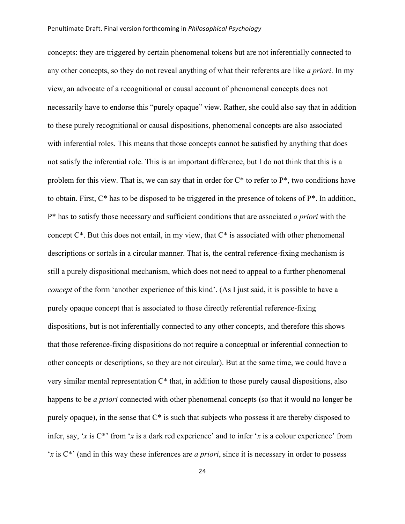concepts: they are triggered by certain phenomenal tokens but are not inferentially connected to any other concepts, so they do not reveal anything of what their referents are like *a priori*. In my view, an advocate of a recognitional or causal account of phenomenal concepts does not necessarily have to endorse this "purely opaque" view. Rather, she could also say that in addition to these purely recognitional or causal dispositions, phenomenal concepts are also associated with inferential roles. This means that those concepts cannot be satisfied by anything that does not satisfy the inferential role. This is an important difference, but I do not think that this is a problem for this view. That is, we can say that in order for C\* to refer to P\*, two conditions have to obtain. First, C\* has to be disposed to be triggered in the presence of tokens of P\*. In addition, P\* has to satisfy those necessary and sufficient conditions that are associated *a priori* with the concept  $C^*$ . But this does not entail, in my view, that  $C^*$  is associated with other phenomenal descriptions or sortals in a circular manner. That is, the central reference-fixing mechanism is still a purely dispositional mechanism, which does not need to appeal to a further phenomenal *concept* of the form 'another experience of this kind'. (As I just said, it is possible to have a purely opaque concept that is associated to those directly referential reference-fixing dispositions, but is not inferentially connected to any other concepts, and therefore this shows that those reference-fixing dispositions do not require a conceptual or inferential connection to other concepts or descriptions, so they are not circular). But at the same time, we could have a very similar mental representation  $C^*$  that, in addition to those purely causal dispositions, also happens to be *a priori* connected with other phenomenal concepts (so that it would no longer be purely opaque), in the sense that  $C^*$  is such that subjects who possess it are thereby disposed to infer, say, '*x* is  $C^*$ ' from '*x* is a dark red experience' and to infer '*x* is a colour experience' from '*x* is C\*' (and in this way these inferences are *a priori*, since it is necessary in order to possess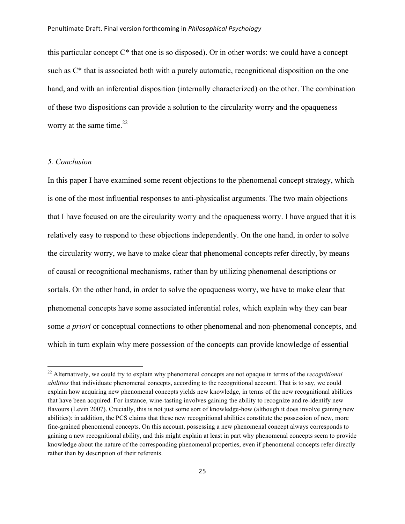this particular concept  $C^*$  that one is so disposed). Or in other words: we could have a concept such as C\* that is associated both with a purely automatic, recognitional disposition on the one hand, and with an inferential disposition (internally characterized) on the other. The combination of these two dispositions can provide a solution to the circularity worry and the opaqueness worry at the same time. $^{22}$ 

# *5. Conclusion*

<u> 1989 - Johann Stein, fransk politik (d. 1989)</u>

In this paper I have examined some recent objections to the phenomenal concept strategy, which is one of the most influential responses to anti-physicalist arguments. The two main objections that I have focused on are the circularity worry and the opaqueness worry. I have argued that it is relatively easy to respond to these objections independently. On the one hand, in order to solve the circularity worry, we have to make clear that phenomenal concepts refer directly, by means of causal or recognitional mechanisms, rather than by utilizing phenomenal descriptions or sortals. On the other hand, in order to solve the opaqueness worry, we have to make clear that phenomenal concepts have some associated inferential roles, which explain why they can bear some *a priori* or conceptual connections to other phenomenal and non-phenomenal concepts, and which in turn explain why mere possession of the concepts can provide knowledge of essential

<sup>&</sup>lt;sup>22</sup> Alternatively, we could try to explain why phenomenal concepts are not opaque in terms of the *recognitional abilities* that individuate phenomenal concepts, according to the recognitional account. That is to say, we could explain how acquiring new phenomenal concepts yields new knowledge, in terms of the new recognitional abilities that have been acquired. For instance, wine-tasting involves gaining the ability to recognize and re-identify new flavours (Levin 2007). Crucially, this is not just some sort of knowledge-how (although it does involve gaining new abilities): in addition, the PCS claims that these new recognitional abilities constitute the possession of new, more fine-grained phenomenal concepts. On this account, possessing a new phenomenal concept always corresponds to gaining a new recognitional ability, and this might explain at least in part why phenomenal concepts seem to provide knowledge about the nature of the corresponding phenomenal properties, even if phenomenal concepts refer directly rather than by description of their referents.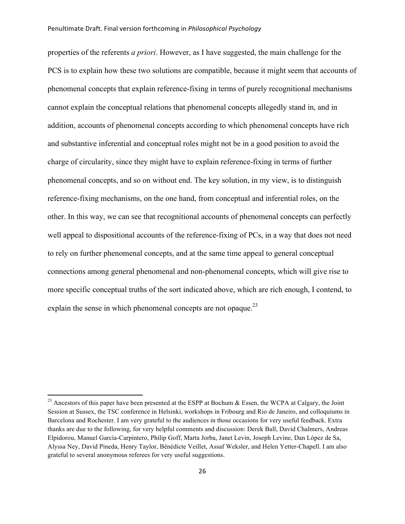properties of the referents *a priori*. However, as I have suggested, the main challenge for the PCS is to explain how these two solutions are compatible, because it might seem that accounts of phenomenal concepts that explain reference-fixing in terms of purely recognitional mechanisms cannot explain the conceptual relations that phenomenal concepts allegedly stand in, and in addition, accounts of phenomenal concepts according to which phenomenal concepts have rich and substantive inferential and conceptual roles might not be in a good position to avoid the charge of circularity, since they might have to explain reference-fixing in terms of further phenomenal concepts, and so on without end. The key solution, in my view, is to distinguish reference-fixing mechanisms, on the one hand, from conceptual and inferential roles, on the other. In this way, we can see that recognitional accounts of phenomenal concepts can perfectly well appeal to dispositional accounts of the reference-fixing of PCs, in a way that does not need to rely on further phenomenal concepts, and at the same time appeal to general conceptual connections among general phenomenal and non-phenomenal concepts, which will give rise to more specific conceptual truths of the sort indicated above, which are rich enough, I contend, to explain the sense in which phenomenal concepts are not opaque.<sup>23</sup>

<sup>&</sup>lt;sup>23</sup> Ancestors of this paper have been presented at the ESPP at Bochum & Essen, the WCPA at Calgary, the Joint Session at Sussex, the TSC conference in Helsinki, workshops in Fribourg and Rio de Janeiro, and colloquiums in Barcelona and Rochester. I am very grateful to the audiences in those occasions for very useful feedback. Extra thanks are due to the following, for very helpful comments and discussion: Derek Ball, David Chalmers, Andreas Elpidorou, Manuel García-Carpintero, Philip Goff, Marta Jorba, Janet Levin, Joseph Levine, Dan López de Sa, Alyssa Ney, David Pineda, Henry Taylor, Bénédicte Veillet, Assaf Weksler, and Helen Yetter-Chapell. I am also grateful to several anonymous referees for very useful suggestions.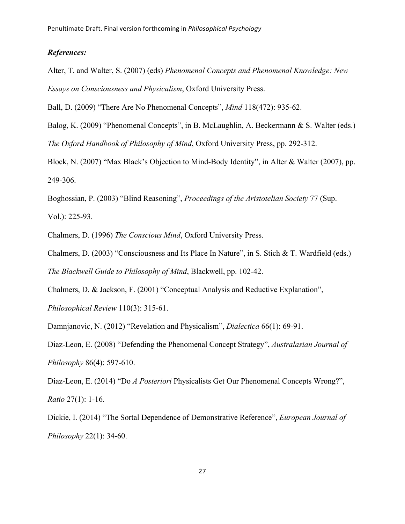# *References:*

Alter, T. and Walter, S. (2007) (eds) *Phenomenal Concepts and Phenomenal Knowledge: New Essays on Consciousness and Physicalism*, Oxford University Press.

Ball, D. (2009) "There Are No Phenomenal Concepts", *Mind* 118(472): 935-62.

Balog, K. (2009) "Phenomenal Concepts", in B. McLaughlin, A. Beckermann & S. Walter (eds.) *The Oxford Handbook of Philosophy of Mind*, Oxford University Press, pp. 292-312.

Block, N. (2007) "Max Black's Objection to Mind-Body Identity", in Alter & Walter (2007), pp. 249-306.

Boghossian, P. (2003) "Blind Reasoning", *Proceedings of the Aristotelian Society* 77 (Sup.

Vol.): 225-93.

Chalmers, D. (1996) *The Conscious Mind*, Oxford University Press.

Chalmers, D. (2003) "Consciousness and Its Place In Nature", in S. Stich & T. Wardfield (eds.) *The Blackwell Guide to Philosophy of Mind*, Blackwell, pp. 102-42.

Chalmers, D. & Jackson, F. (2001) "Conceptual Analysis and Reductive Explanation", *Philosophical Review* 110(3): 315-61.

Damnjanovic, N. (2012) "Revelation and Physicalism", *Dialectica* 66(1): 69-91.

Diaz-Leon, E. (2008) "Defending the Phenomenal Concept Strategy", *Australasian Journal of Philosophy* 86(4): 597-610.

Diaz-Leon, E. (2014) "Do *A Posteriori* Physicalists Get Our Phenomenal Concepts Wrong?", *Ratio* 27(1): 1-16.

Dickie, I. (2014) "The Sortal Dependence of Demonstrative Reference", *European Journal of Philosophy* 22(1): 34-60.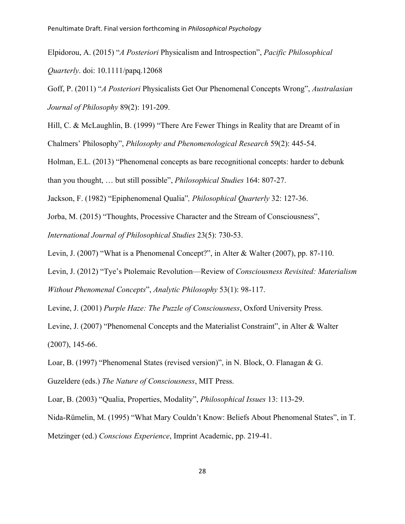Elpidorou, A. (2015) "*A Posteriori* Physicalism and Introspection", *Pacific Philosophical Quarterly*. doi: 10.1111/papq.12068

Goff, P. (2011) "*A Posteriori* Physicalists Get Our Phenomenal Concepts Wrong", *Australasian Journal of Philosophy* 89(2): 191-209.

Hill, C. & McLaughlin, B. (1999) "There Are Fewer Things in Reality that are Dreamt of in Chalmers' Philosophy", *Philosophy and Phenomenological Research* 59(2): 445-54.

Holman, E.L. (2013) "Phenomenal concepts as bare recognitional concepts: harder to debunk

than you thought, … but still possible", *Philosophical Studies* 164: 807-27.

Jackson, F. (1982) "Epiphenomenal Qualia"*, Philosophical Quarterly* 32: 127-36.

Jorba, M. (2015) "Thoughts, Processive Character and the Stream of Consciousness",

*International Journal of Philosophical Studies* 23(5): 730-53.

Levin, J. (2007) "What is a Phenomenal Concept?", in Alter & Walter (2007), pp. 87-110.

Levin, J. (2012) "Tye's Ptolemaic Revolution—Review of *Consciousness Revisited: Materialism Without Phenomenal Concepts*", *Analytic Philosophy* 53(1): 98-117.

Levine, J. (2001) *Purple Haze: The Puzzle of Consciousness*, Oxford University Press.

Levine, J. (2007) "Phenomenal Concepts and the Materialist Constraint", in Alter & Walter (2007), 145-66.

Loar, B. (1997) "Phenomenal States (revised version)", in N. Block, O. Flanagan & G.

Guzeldere (eds.) *The Nature of Consciousness*, MIT Press.

Loar, B. (2003) "Qualia, Properties, Modality", *Philosophical Issues* 13: 113-29.

Nida-Rümelin, M. (1995) "What Mary Couldn't Know: Beliefs About Phenomenal States", in T.

Metzinger (ed.) *Conscious Experience*, Imprint Academic, pp. 219-41.